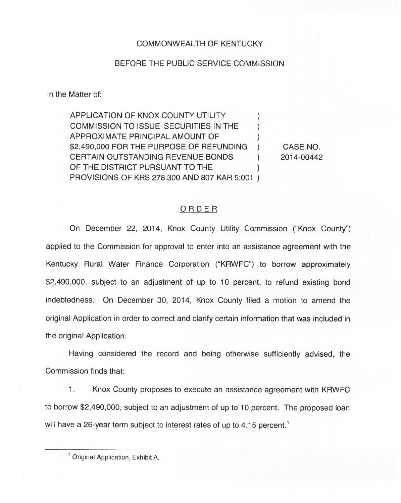## COMMONWEALTH OF KENTUCKY

## BEFORE THE PUBLIC SERVICE COMMISSION

In the Matter of:

APPLICATION OF KNOX COUNTY UTILITY COMMISSION TO ISSUE SECURITIES IN THE ) APPROXIMATE PRINCIPAL AMOUNT OF ) \$2,490,000 FOR THE PURPOSE OF REFUNDING ) CERTAIN OUTSTANDING REVENUE BONDS  $\qquad$  ) OF THE DISTRICT PURSUANT TO THE PROVISIONS OF KRS 278.300 AND 807 KAR 5:001 )

CASE NO. 2014-00442

## ORDER

On December 22, 2014, Knox County Utility Commission ("Knox County") applied to the Commission for approval to enter into an assistance agreement with the Kentucky Rural Water Finance Corporation ("KRWFC") to borrow approximately \$2,490,000, subject to an adjustment of up to 10 percent, to refund existing bond indebtedness. On December 30, 2014, Knox County filed a motion to amend the original Application in order to correct and clarify certain information that was included in the original Application.

Having considered the record and being otherwise sufficiently advised, the Commission finds that:

1. Knox County proposes to execute an assistance agreement with KRWFC to borrow \$2,490,000, subject to an adjustment of up to 10 percent. The proposed loan will have a 26-year term subject to interest rates of up to 4.15 percent.<sup>1</sup>

Original Application, Exhibit A.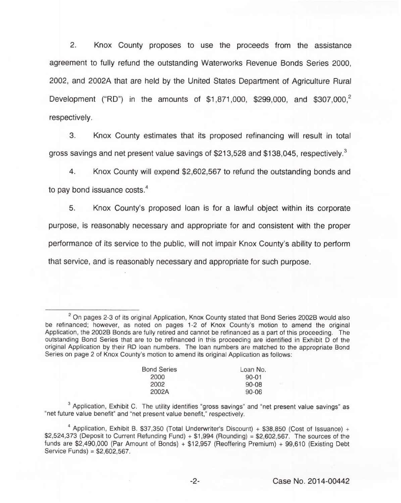2. Knox County proposes to use the proceeds from the assistance agreement to fully refund the outstanding Waterworks Revenue Bonds Series 2000, 2002, and 2002A that are held by the United States Department of Agriculture Rural Development ("RD") in the amounts of \$1,871,000, \$299,000, and \$307,000,<sup>2</sup> respectively.

3. Knox County estimates that its proposed refinancing will result in total gross savings and net present value savings of \$213,528 and \$138,045, respectively.<sup>3</sup>

4. Knox County will expend \$2,602,567 to refund the outstanding bonds and to pay bond issuance costs.<sup>4</sup>

5. County's proposed loan is for a lawful object within its corporate purpose, is reasonably necessary and appropriate for and consistent with the proper performance of its service to the public, will not impair Knox County's ability to perform that service, and is reasonably necessary and appropriate for such purpose.

 $2$  On pages 2-3 of its original Application, Knox County stated that Bond Series 2002B would also be refinanced; however, as noted on pages 1-2 of Knox County's motion to amend the original Application, the 2002B Bonds are fully retired and cannot be refinanced as a part of this proceeding. The outstanding Bond Series that are to be refinanced in this proceeding are identified in Exhibit D of the original Application by their RD loan numbers. The loan numbers are matched to the appropriate Bond Series on page 2 of Knox County's motion to amend its original Application as follows:

| <b>Bond Series</b> | Loan No.  |
|--------------------|-----------|
| 2000               | $90 - 01$ |
| 2002               | $90 - 08$ |
| 2002A              | $90 - 06$ |
|                    |           |

 $3$  Application, Exhibit C. The utility identifies "gross savings" and "net present value savings" as "net future value benefit" and "net present value benefit," respectively.

 $4$  Application, Exhibit B. \$37,350 (Total Underwriter's Discount) + \$38,850 (Cost of Issuance) +  $$2,524,373$  (Deposit to Current Refunding Fund) +  $$1,994$  (Rounding) = \$2,602,567. The sources of the funds are \$2,490,000 (Par Amount of Bonds) + \$12,957 (Reoffering Premium) + 99,610 (Existing Debt Service Funds) = \$2,602,567.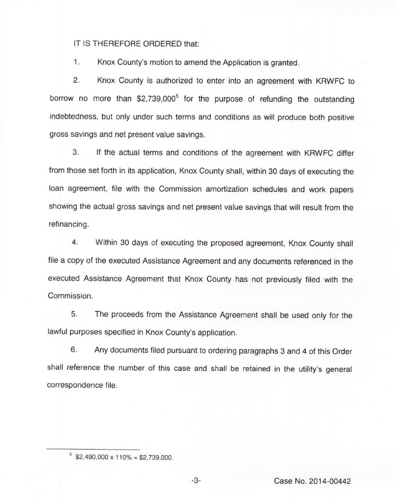IT IS THEREFORE ORDERED that:

1. Knox County's motion to amend the Application is granted.

2. Knox County is authorized to enter into an agreement with KRWFC to borrow no more than  $$2,739,000^5$  for the purpose of refunding the outstanding indebtedness, but only under such terms and conditions as will produce both positive gross savings and net present value savings.

3. If the actual terms and conditions of the agreement with KRWFC differ from those set forth in its application, Knox County shall, within 30 days of executing the loan agreement, file with the Commission amortization schedules and work papers showing the actual gross savings and net present value savings that will result from the refinancing.

4. Within 30 days of executing the proposed agreement, Knox County shall file a copy of the executed Assistance Agreement and any documents referenced in the executed Assistance Agreement that Knox County has not previously filed with the Commission.

5. The proceeds from the Assistance Agreement shall be used only for the lawful purposes specified in Knox County's application.

6. Any documents filed pursuant to ordering paragraphs 3 and 4 of this Order shall reference the number of this case and shall be retained in the utility's general correspondence file.

 $5$  \$2,490,000 x 110% = \$2,739,000.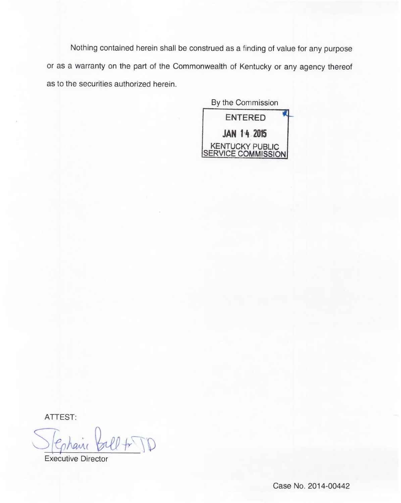Nothing contained herein shall be construed as a finding of value for any purpose or as a warranty on the part of the Commonwealth of Kentucky or any agency thereof as to the securities authorized herein.

By the Commission ENTERED JAN 14 2015 KENTUCKY PUBLIC SERVICE COMMISSION

ATTEST:

Executive Director

Case No. 2014-00442